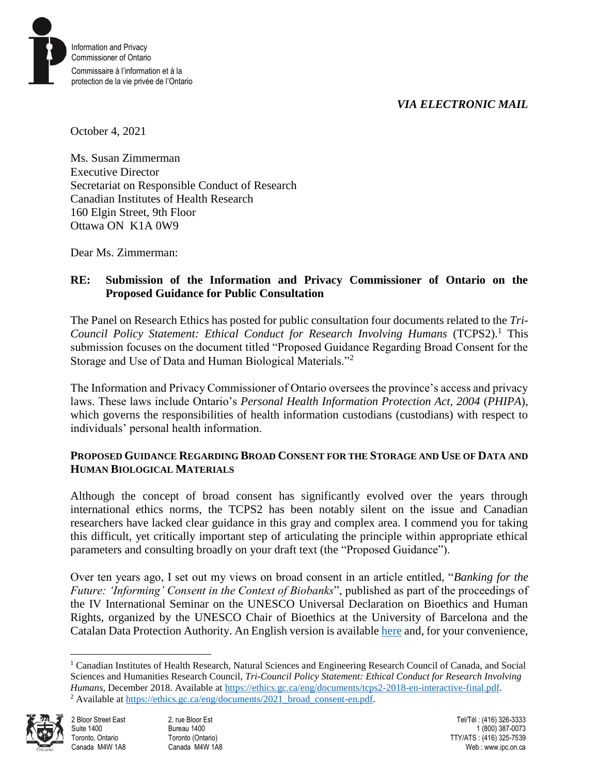#### *VIA ELECTRONIC MAIL*



October 4, 2021

Ms. Susan Zimmerman Executive Director Secretariat on Responsible Conduct of Research Canadian Institutes of Health Research 160 Elgin Street, 9th Floor Ottawa ON K1A 0W9

Dear Ms. Zimmerman:

#### **RE: Submission of the Information and Privacy Commissioner of Ontario on the Proposed Guidance for Public Consultation**

The Panel on Research Ethics has posted for public consultation four documents related to the *Tri-Council Policy Statement: Ethical Conduct for Research Involving Humans* (TCPS2).<sup>1</sup> This submission focuses on the document titled "Proposed Guidance Regarding Broad Consent for the Storage and Use of Data and Human Biological Materials."<sup>2</sup>

The Information and Privacy Commissioner of Ontario oversees the province's access and privacy laws. These laws include Ontario's *Personal Health Information Protection Act, 2004* (*PHIPA*), which governs the responsibilities of health information custodians (custodians) with respect to individuals' personal health information.

#### **PROPOSED GUIDANCE REGARDING BROAD CONSENT FOR THE STORAGE AND USE OF DATA AND HUMAN BIOLOGICAL MATERIALS**

Although the concept of broad consent has significantly evolved over the years through international ethics norms, the TCPS2 has been notably silent on the issue and Canadian researchers have lacked clear guidance in this gray and complex area. I commend you for taking this difficult, yet critically important step of articulating the principle within appropriate ethical parameters and consulting broadly on your draft text (the "Proposed Guidance").

Over ten years ago, I set out my views on broad consent in an article entitled, "*Banking for the Future: 'Informing' Consent in the Context of Biobanks*", published as part of the proceedings of the IV International Seminar on the UNESCO Universal Declaration on Bioethics and Human Rights, organized by the UNESCO Chair of Bioethics at the University of Barcelona and the Catalan Data Protection Authority. An English version is available [here](https://www.priv.gc.ca/en/opc-news/speeches/2011/sp-d_20110121_pk/) and, for your convenience,

<sup>&</sup>lt;sup>1</sup> Canadian Institutes of Health Research, Natural Sciences and Engineering Research Council of Canada, and Social Sciences and Humanities Research Council, *Tri-Council Policy Statement: Ethical Conduct for Research Involving Humans*, December 2018. Available at [https://ethics.gc.ca/eng/documents/tcps2-2018-en-interactive-final.pdf.](https://ethics.gc.ca/eng/documents/tcps2-2018-en-interactive-final.pdf) <sup>2</sup> Available at https://ethics.gc.ca/eng/documents/2021\_broad\_consent-en.pdf.



 $\overline{a}$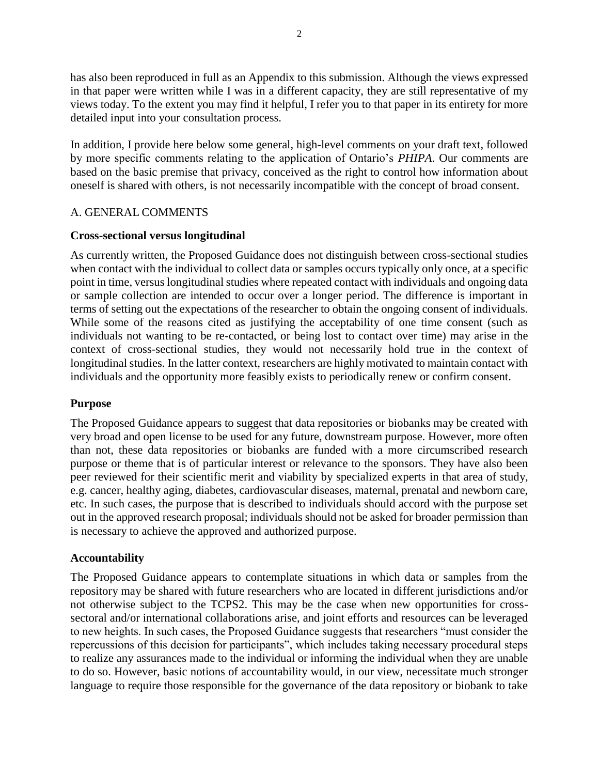has also been reproduced in full as an Appendix to this submission. Although the views expressed in that paper were written while I was in a different capacity, they are still representative of my views today. To the extent you may find it helpful, I refer you to that paper in its entirety for more detailed input into your consultation process.

In addition, I provide here below some general, high-level comments on your draft text, followed by more specific comments relating to the application of Ontario's *PHIPA*. Our comments are based on the basic premise that privacy, conceived as the right to control how information about oneself is shared with others, is not necessarily incompatible with the concept of broad consent.

#### A. GENERAL COMMENTS

#### **Cross-sectional versus longitudinal**

As currently written, the Proposed Guidance does not distinguish between cross-sectional studies when contact with the individual to collect data or samples occurs typically only once, at a specific point in time, versus longitudinal studies where repeated contact with individuals and ongoing data or sample collection are intended to occur over a longer period. The difference is important in terms of setting out the expectations of the researcher to obtain the ongoing consent of individuals. While some of the reasons cited as justifying the acceptability of one time consent (such as individuals not wanting to be re-contacted, or being lost to contact over time) may arise in the context of cross-sectional studies, they would not necessarily hold true in the context of longitudinal studies. In the latter context, researchers are highly motivated to maintain contact with individuals and the opportunity more feasibly exists to periodically renew or confirm consent.

#### **Purpose**

The Proposed Guidance appears to suggest that data repositories or biobanks may be created with very broad and open license to be used for any future, downstream purpose. However, more often than not, these data repositories or biobanks are funded with a more circumscribed research purpose or theme that is of particular interest or relevance to the sponsors. They have also been peer reviewed for their scientific merit and viability by specialized experts in that area of study, e.g. cancer, healthy aging, diabetes, cardiovascular diseases, maternal, prenatal and newborn care, etc. In such cases, the purpose that is described to individuals should accord with the purpose set out in the approved research proposal; individuals should not be asked for broader permission than is necessary to achieve the approved and authorized purpose.

#### **Accountability**

The Proposed Guidance appears to contemplate situations in which data or samples from the repository may be shared with future researchers who are located in different jurisdictions and/or not otherwise subject to the TCPS2. This may be the case when new opportunities for crosssectoral and/or international collaborations arise, and joint efforts and resources can be leveraged to new heights. In such cases, the Proposed Guidance suggests that researchers "must consider the repercussions of this decision for participants", which includes taking necessary procedural steps to realize any assurances made to the individual or informing the individual when they are unable to do so. However, basic notions of accountability would, in our view, necessitate much stronger language to require those responsible for the governance of the data repository or biobank to take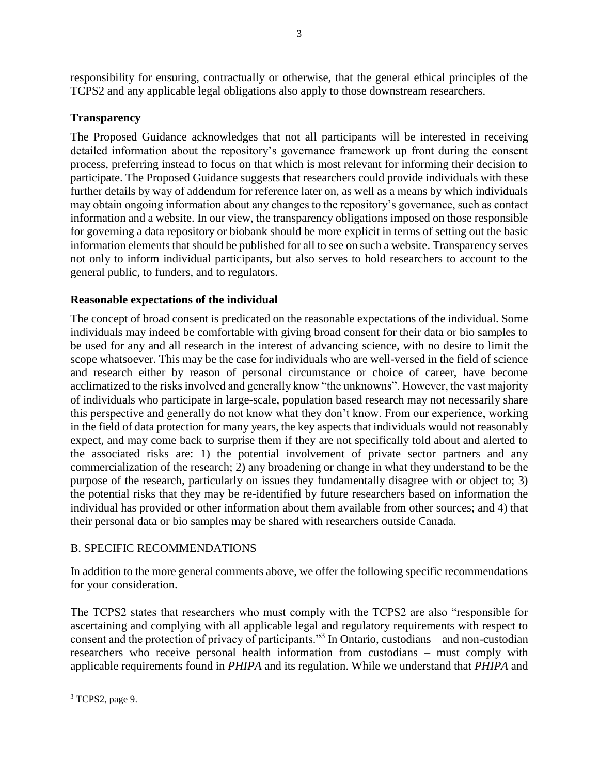responsibility for ensuring, contractually or otherwise, that the general ethical principles of the TCPS2 and any applicable legal obligations also apply to those downstream researchers.

#### **Transparency**

The Proposed Guidance acknowledges that not all participants will be interested in receiving detailed information about the repository's governance framework up front during the consent process, preferring instead to focus on that which is most relevant for informing their decision to participate. The Proposed Guidance suggests that researchers could provide individuals with these further details by way of addendum for reference later on, as well as a means by which individuals may obtain ongoing information about any changes to the repository's governance, such as contact information and a website. In our view, the transparency obligations imposed on those responsible for governing a data repository or biobank should be more explicit in terms of setting out the basic information elements that should be published for all to see on such a website. Transparency serves not only to inform individual participants, but also serves to hold researchers to account to the general public, to funders, and to regulators.

#### **Reasonable expectations of the individual**

The concept of broad consent is predicated on the reasonable expectations of the individual. Some individuals may indeed be comfortable with giving broad consent for their data or bio samples to be used for any and all research in the interest of advancing science, with no desire to limit the scope whatsoever. This may be the case for individuals who are well-versed in the field of science and research either by reason of personal circumstance or choice of career, have become acclimatized to the risks involved and generally know "the unknowns". However, the vast majority of individuals who participate in large-scale, population based research may not necessarily share this perspective and generally do not know what they don't know. From our experience, working in the field of data protection for many years, the key aspects that individuals would not reasonably expect, and may come back to surprise them if they are not specifically told about and alerted to the associated risks are: 1) the potential involvement of private sector partners and any commercialization of the research; 2) any broadening or change in what they understand to be the purpose of the research, particularly on issues they fundamentally disagree with or object to; 3) the potential risks that they may be re-identified by future researchers based on information the individual has provided or other information about them available from other sources; and 4) that their personal data or bio samples may be shared with researchers outside Canada.

#### B. SPECIFIC RECOMMENDATIONS

In addition to the more general comments above, we offer the following specific recommendations for your consideration.

The TCPS2 states that researchers who must comply with the TCPS2 are also "responsible for ascertaining and complying with all applicable legal and regulatory requirements with respect to consent and the protection of privacy of participants."<sup>3</sup> In Ontario, custodians – and non-custodian researchers who receive personal health information from custodians – must comply with applicable requirements found in *PHIPA* and its regulation. While we understand that *PHIPA* and

 $\overline{a}$ <sup>3</sup> TCPS2, page 9.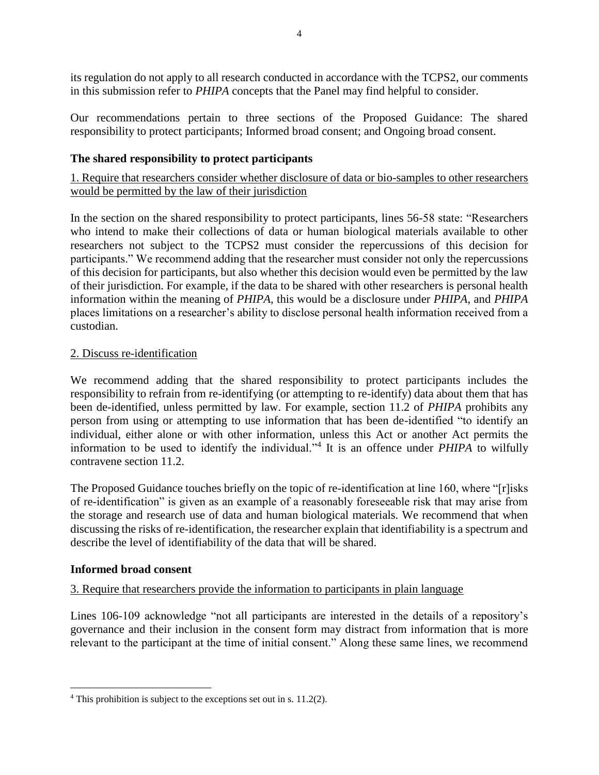its regulation do not apply to all research conducted in accordance with the TCPS2, our comments in this submission refer to *PHIPA* concepts that the Panel may find helpful to consider.

Our recommendations pertain to three sections of the Proposed Guidance: The shared responsibility to protect participants; Informed broad consent; and Ongoing broad consent.

#### **The shared responsibility to protect participants**

1. Require that researchers consider whether disclosure of data or bio-samples to other researchers would be permitted by the law of their jurisdiction

In the section on the shared responsibility to protect participants, lines 56-58 state: "Researchers who intend to make their collections of data or human biological materials available to other researchers not subject to the TCPS2 must consider the repercussions of this decision for participants." We recommend adding that the researcher must consider not only the repercussions of this decision for participants, but also whether this decision would even be permitted by the law of their jurisdiction. For example, if the data to be shared with other researchers is personal health information within the meaning of *PHIPA*, this would be a disclosure under *PHIPA*, and *PHIPA* places limitations on a researcher's ability to disclose personal health information received from a custodian.

#### 2. Discuss re-identification

We recommend adding that the shared responsibility to protect participants includes the responsibility to refrain from re-identifying (or attempting to re-identify) data about them that has been de-identified, unless permitted by law. For example, section 11.2 of *PHIPA* prohibits any person from using or attempting to use information that has been de-identified "to identify an individual, either alone or with other information, unless this Act or another Act permits the information to be used to identify the individual."<sup>4</sup> It is an offence under *PHIPA* to wilfully contravene section 11.2.

The Proposed Guidance touches briefly on the topic of re-identification at line 160, where "[r]isks of re-identification" is given as an example of a reasonably foreseeable risk that may arise from the storage and research use of data and human biological materials. We recommend that when discussing the risks of re-identification, the researcher explain that identifiability is a spectrum and describe the level of identifiability of the data that will be shared.

#### **Informed broad consent**

 $\overline{a}$ 

#### 3. Require that researchers provide the information to participants in plain language

Lines 106-109 acknowledge "not all participants are interested in the details of a repository's governance and their inclusion in the consent form may distract from information that is more relevant to the participant at the time of initial consent." Along these same lines, we recommend

<sup>4</sup> This prohibition is subject to the exceptions set out in s. 11.2(2).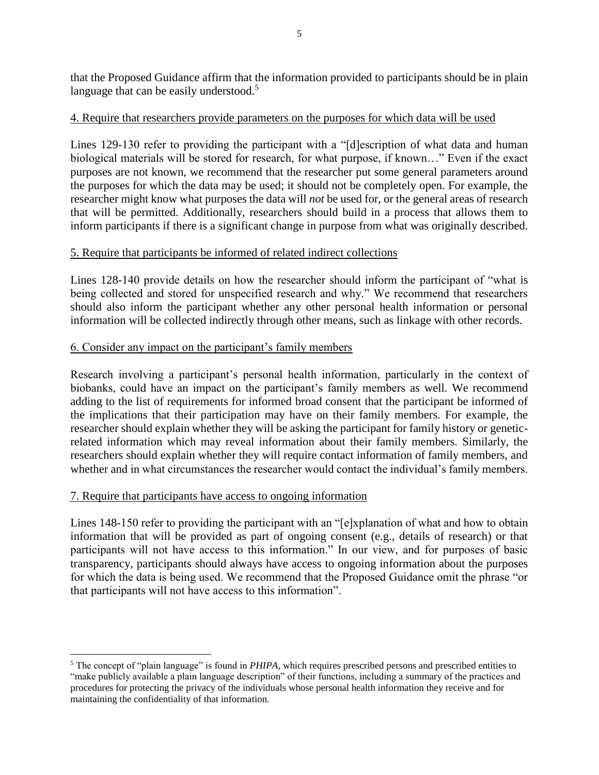that the Proposed Guidance affirm that the information provided to participants should be in plain language that can be easily understood.<sup>5</sup>

#### 4. Require that researchers provide parameters on the purposes for which data will be used

Lines 129-130 refer to providing the participant with a "[d]escription of what data and human biological materials will be stored for research, for what purpose, if known…" Even if the exact purposes are not known, we recommend that the researcher put some general parameters around the purposes for which the data may be used; it should not be completely open. For example, the researcher might know what purposes the data will *not* be used for, or the general areas of research that will be permitted. Additionally, researchers should build in a process that allows them to inform participants if there is a significant change in purpose from what was originally described.

#### 5. Require that participants be informed of related indirect collections

Lines 128-140 provide details on how the researcher should inform the participant of "what is being collected and stored for unspecified research and why." We recommend that researchers should also inform the participant whether any other personal health information or personal information will be collected indirectly through other means, such as linkage with other records.

#### 6. Consider any impact on the participant's family members

Research involving a participant's personal health information, particularly in the context of biobanks, could have an impact on the participant's family members as well. We recommend adding to the list of requirements for informed broad consent that the participant be informed of the implications that their participation may have on their family members. For example, the researcher should explain whether they will be asking the participant for family history or geneticrelated information which may reveal information about their family members. Similarly, the researchers should explain whether they will require contact information of family members, and whether and in what circumstances the researcher would contact the individual's family members.

#### 7. Require that participants have access to ongoing information

 $\overline{a}$ 

Lines 148-150 refer to providing the participant with an "[e]xplanation of what and how to obtain information that will be provided as part of ongoing consent (e.g., details of research) or that participants will not have access to this information." In our view, and for purposes of basic transparency, participants should always have access to ongoing information about the purposes for which the data is being used. We recommend that the Proposed Guidance omit the phrase "or that participants will not have access to this information".

<sup>5</sup> The concept of "plain language" is found in *PHIPA*, which requires prescribed persons and prescribed entities to "make publicly available a plain language description" of their functions, including a summary of the practices and procedures for protecting the privacy of the individuals whose personal health information they receive and for maintaining the confidentiality of that information.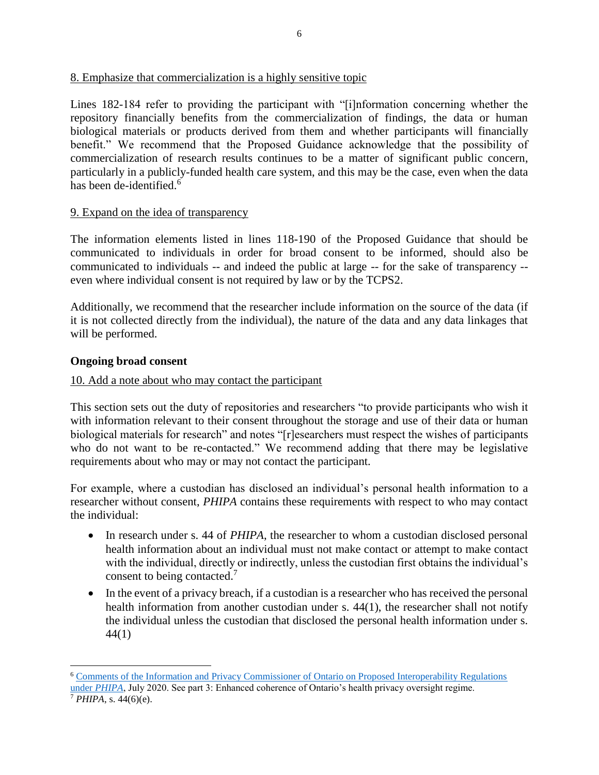#### 8. Emphasize that commercialization is a highly sensitive topic

Lines 182-184 refer to providing the participant with "[i]nformation concerning whether the repository financially benefits from the commercialization of findings, the data or human biological materials or products derived from them and whether participants will financially benefit." We recommend that the Proposed Guidance acknowledge that the possibility of commercialization of research results continues to be a matter of significant public concern, particularly in a publicly-funded health care system, and this may be the case, even when the data has been de-identified.<sup>6</sup>

#### 9. Expand on the idea of transparency

The information elements listed in lines 118-190 of the Proposed Guidance that should be communicated to individuals in order for broad consent to be informed, should also be communicated to individuals -- and indeed the public at large -- for the sake of transparency - even where individual consent is not required by law or by the TCPS2.

Additionally, we recommend that the researcher include information on the source of the data (if it is not collected directly from the individual), the nature of the data and any data linkages that will be performed.

#### **Ongoing broad consent**

#### 10. Add a note about who may contact the participant

This section sets out the duty of repositories and researchers "to provide participants who wish it with information relevant to their consent throughout the storage and use of their data or human biological materials for research" and notes "[r]esearchers must respect the wishes of participants who do not want to be re-contacted." We recommend adding that there may be legislative requirements about who may or may not contact the participant.

For example, where a custodian has disclosed an individual's personal health information to a researcher without consent, *PHIPA* contains these requirements with respect to who may contact the individual:

- In research under s. 44 of *PHIPA*, the researcher to whom a custodian disclosed personal health information about an individual must not make contact or attempt to make contact with the individual, directly or indirectly, unless the custodian first obtains the individual's consent to being contacted.<sup>7</sup>
- In the event of a privacy breach, if a custodian is a researcher who has received the personal health information from another custodian under s. 44(1), the researcher shall not notify the individual unless the custodian that disclosed the personal health information under s. 44(1)

 $\overline{a}$ 

<sup>6</sup> [Comments of the Information and Privacy Commissioner of Ontario on Proposed Interoperability Regulations](https://www.ipc.on.ca/wp-content/uploads/2020/08/2020-07-23-proposed-interoperability-regulations-phipa.pdf)  under *[PHIPA](https://www.ipc.on.ca/wp-content/uploads/2020/08/2020-07-23-proposed-interoperability-regulations-phipa.pdf)*, July 2020. See part 3: Enhanced coherence of Ontario's health privacy oversight regime.

<sup>7</sup> *PHIPA*, s. 44(6)(e).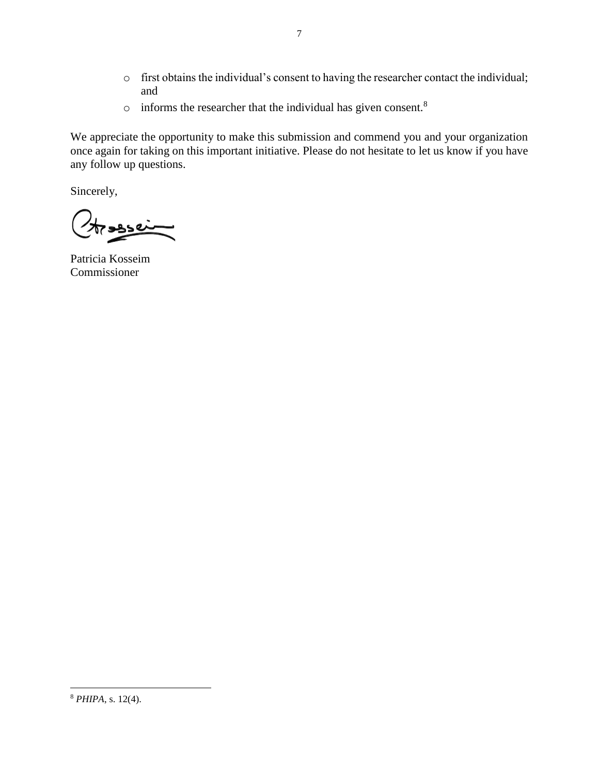- o first obtains the individual's consent to having the researcher contact the individual; and
- $\circ$  informs the researcher that the individual has given consent.<sup>8</sup>

We appreciate the opportunity to make this submission and commend you and your organization once again for taking on this important initiative. Please do not hesitate to let us know if you have any follow up questions.

Sincerely,

عدده

Patricia Kosseim Commissioner

 $\overline{a}$ 

<sup>8</sup> *PHIPA*, s. 12(4).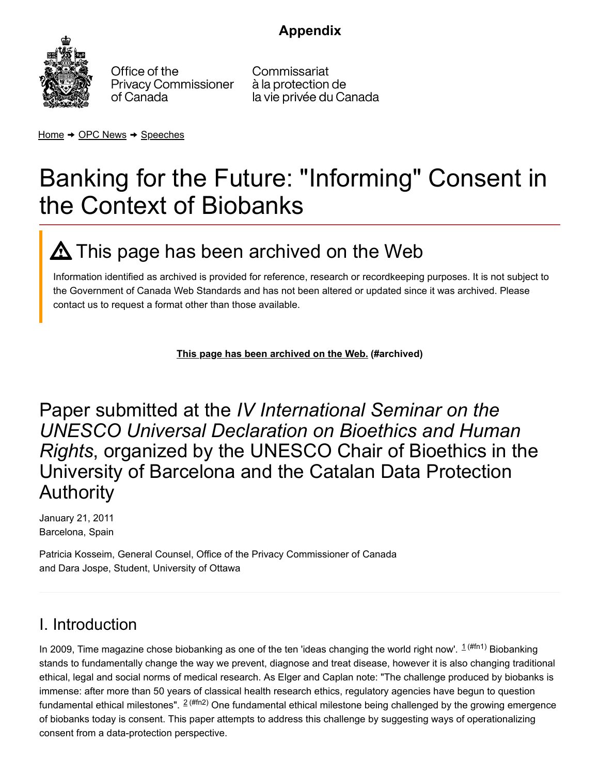# **[Appendix](https://www.priv.gc.ca/en)**



Office of the **Privacy Commissioner** of Canada

Commissariat à la protection de la vie privée du Canada

[Home](https://www.priv.gc.ca/en/)  $\rightarrow$  [OPC News](https://www.priv.gc.ca/en/opc-news/)  $\rightarrow$  [Speeches](https://www.priv.gc.ca/en/opc-news/speeches/)

# Banking for the Future: "Informing" Consent in the Context of Biobanks

# <span id="page-7-0"></span> $\boldsymbol{\Delta}$  This page has been archived on the Web

Information identified as archived is provided for reference, research or recordkeeping purposes. It is not subject to the Government of Canada Web Standards and has not been altered or updated since it was archived. Please contact us to request a format other than those available.

<span id="page-7-1"></span>**[This page has been archived on the Web.](#page-7-0) (#archived)**

Paper submitted at the *IV International Seminar on the UNESCO Universal Declaration on Bioethics and Human Rights*, organized by the UNESCO Chair of Bioethics in the University of Barcelona and the Catalan Data Protection Authority

January 21, 2011 Barcelona, Spain

Patricia Kosseim, General Counsel, Office of the Privacy Commissioner of Canada and Dara Jospe, Student, University of Ottawa

# I. Introduction

<span id="page-7-2"></span>In2009, Time magazine chose biobanking as one of the ten 'ideas changing the world right now'.  $1^{(\# \ln 1)}$  Biobanking stands to fundamentally change the way we prevent, diagnose and treat disease, however it is also changing traditional ethical, legal and social norms of medical research. As Elger and Caplan note: "The challenge produced by biobanks is immense: after more than 50 years of classical health research ethics, regulatory agencies have begun to question fundamentalethical milestones". <sup>2 (#fn2)</sup> One fundamental ethical milestone being challenged by the growing emergence of biobanks today is consent. This paper attempts to address this challenge by suggesting ways of operationalizing consent from a data-protection perspective.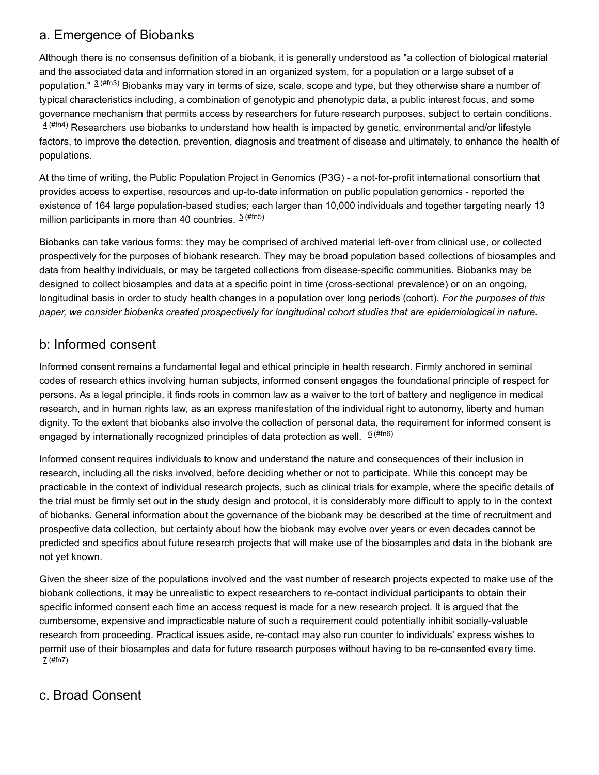## a. Emergence of Biobanks

<span id="page-8-0"></span>Although there is no consensus definition of a biobank, it is generally understood as "a collection of biological material and the associated data and information stored in an organized system, for a population or a large subset of a population."  $3^{(\#m3)}$  Biobanks may vary in terms of size, scale, scope and type, but they otherwise share a number of typical characteristics including, a combination of genotypic and phenotypic data, a public interest focus, and some governance mechanism that permits access by researchers for future research purposes, subject to certain conditions.  $4^{( \#m4)}$  Researchers use biobanks to understand how health is impacted by genetic, environmental and/or lifestyle factors, to improve the detection, prevention, diagnosis and treatment of disease and ultimately, to enhance the health of populations.

<span id="page-8-1"></span>At the time of writing, the Public Population Project in Genomics (P3G) - a not-for-profit international consortium that provides access to expertise, resources and up-to-date information on public population genomics - reported the existence of 164 large population-based studies; each larger than 10,000 individuals and together targeting nearly 13 million participants in more than 40 countries.  $\frac{5}{2}$  [\(#fn5\)](#page-15-4)

<span id="page-8-2"></span>Biobanks can take various forms: they may be comprised of archived material left-over from clinical use, or collected prospectively for the purposes of biobank research. They may be broad population based collections of biosamples and data from healthy individuals, or may be targeted collections from disease-specific communities. Biobanks may be designed to collect biosamples and data at a specific point in time (cross-sectional prevalence) or on an ongoing, longitudinal basis in order to study health changes in a population over long periods (cohort). *For the purposes of this paper, we consider biobanks created prospectively for longitudinal cohort studies that are epidemiological in nature.*

### b: Informed consent

Informed consent remains a fundamental legal and ethical principle in health research. Firmly anchored in seminal codes of research ethics involving human subjects, informed consent engages the foundational principle of respect for persons. As a legal principle, it finds roots in common law as a waiver to the tort of battery and negligence in medical research, and in human rights law, as an express manifestation of the individual right to autonomy, liberty and human dignity. To the extent that biobanks also involve the collection of personal data, the requirement for informed consent is engaged by internationally recognized principles of data protection as well.  $6$  <sup>[\(#fn6\)](#page-15-5)</sup>

<span id="page-8-3"></span>Informed consent requires individuals to know and understand the nature and consequences of their inclusion in research, including all the risks involved, before deciding whether or not to participate. While this concept may be practicable in the context of individual research projects, such as clinical trials for example, where the specific details of the trial must be firmly set out in the study design and protocol, it is considerably more difficult to apply to in the context of biobanks. General information about the governance of the biobank may be described at the time of recruitment and prospective data collection, but certainty about how the biobank may evolve over years or even decades cannot be predicted and specifics about future research projects that will make use of the biosamples and data in the biobank are not yet known.

Given the sheer size of the populations involved and the vast number of research projects expected to make use of the biobank collections, it may be unrealistic to expect researchers to re-contact individual participants to obtain their specific informed consent each time an access request is made for a new research project. It is argued that the cumbersome, expensive and impracticable nature of such a requirement could potentially inhibit socially-valuable research from proceeding. Practical issues aside, re-contact may also run counter to individuals' express wishes to permit use of their biosamples and data for future research purposes without having to be re-consented every time. 7 [\(#fn7\)](#page-15-6)

# <span id="page-8-4"></span>c. Broad Consent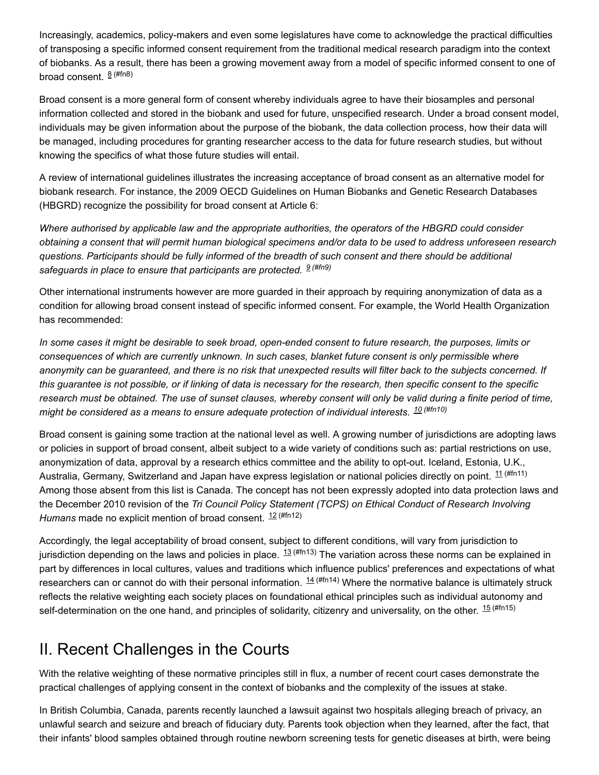Increasingly, academics, policy-makers and even some legislatures have come to acknowledge the practical difficulties of transposing a specific informed consent requirement from the traditional medical research paradigm into the context of biobanks. As a result, there has been a growing movement away from a model of specific informed consent to one of broad consent.  $8$  [\(#fn8\)](#page-15-7)

<span id="page-9-0"></span>Broad consent is a more general form of consent whereby individuals agree to have their biosamples and personal information collected and stored in the biobank and used for future, unspecified research. Under a broad consent model, individuals may be given information about the purpose of the biobank, the data collection process, how their data will be managed, including procedures for granting researcher access to the data for future research studies, but without knowing the specifics of what those future studies will entail.

A review of international guidelines illustrates the increasing acceptance of broad consent as an alternative model for biobank research. For instance, the 2009 OECD Guidelines on Human Biobanks and Genetic Research Databases (HBGRD) recognize the possibility for broad consent at Article 6:

*Where authorised by applicable law and the appropriate authorities, the operators of the HBGRD could consider* obtaining a consent that will permit human biological specimens and/or data to be used to address unforeseen research questions. Participants should be fully informed of the breadth of such consent and there should be additional *safeguards in place to ensure that participants are protected. 9 [\(#fn9\)](#page-15-8)*

<span id="page-9-1"></span>Other international instruments however are more guarded in their approach by requiring anonymization of data as a condition for allowing broad consent instead of specific informed consent. For example, the World Health Organization has recommended:

In some cases it might be desirable to seek broad, open-ended consent to future research, the purposes, limits or *consequences of which are currently unknown. In such cases, blanket future consent is only permissible where* anonymity can be guaranteed, and there is no risk that unexpected results will filter back to the subjects concerned. If this guarantee is not possible, or if linking of data is necessary for the research, then specific consent to the specific research must be obtained. The use of sunset clauses, whereby consent will only be valid during a finite period of time, *might be considered as a means to ensure adequate protection of individual interests. 10 [\(#fn10\)](#page-15-9)*

<span id="page-9-3"></span><span id="page-9-2"></span>Broad consent is gaining some traction at the national level as well. A growing number of jurisdictions are adopting laws or policies in support of broad consent, albeit subject to a wide variety of conditions such as: partial restrictions on use, anonymization of data, approval by a research ethics committee and the ability to opt-out. Iceland, Estonia, U.K., Australia, Germany, Switzerland and Japan have express legislation or national policies directly on point.  $^{\text{11 (ffn11)}}$ Among those absent from this list is Canada. The concept has not been expressly adopted into data protection laws and the December 2010 revision of the *Tri Council Policy Statement (TCPS) on Ethical Conduct of Research Involving Humans* made no explicit mention of broad consent. 12 [\(#fn12\)](#page-16-0)

<span id="page-9-6"></span><span id="page-9-5"></span><span id="page-9-4"></span>Accordingly, the legal acceptability of broad consent, subject to different conditions, will vary from jurisdiction to jurisdiction depending on the laws and policies in place.  $^{13~\rm{(ffn13)}}$  The variation across these norms can be explained in part by differences in local cultures, values and traditions which influence publics' preferences and expectations of what researchers can or cannot do with their personal information.  $^{14\,(H\!in14)}$  Where the normative balance is ultimately struck reflects the relative weighting each society places on foundational ethical principles such as individual autonomy and self-determination on the one hand, and principles of solidarity, citizenry and universality, on the other.  $^{\rm 15\,(\#fn15)}$ 

# <span id="page-9-7"></span>II. Recent Challenges in the Courts

With the relative weighting of these normative principles still in flux, a number of recent court cases demonstrate the practical challenges of applying consent in the context of biobanks and the complexity of the issues at stake.

In British Columbia, Canada, parents recently launched a lawsuit against two hospitals alleging breach of privacy, an unlawful search and seizure and breach of fiduciary duty. Parents took objection when they learned, after the fact, that their infants' blood samples obtained through routine newborn screening tests for genetic diseases at birth, were being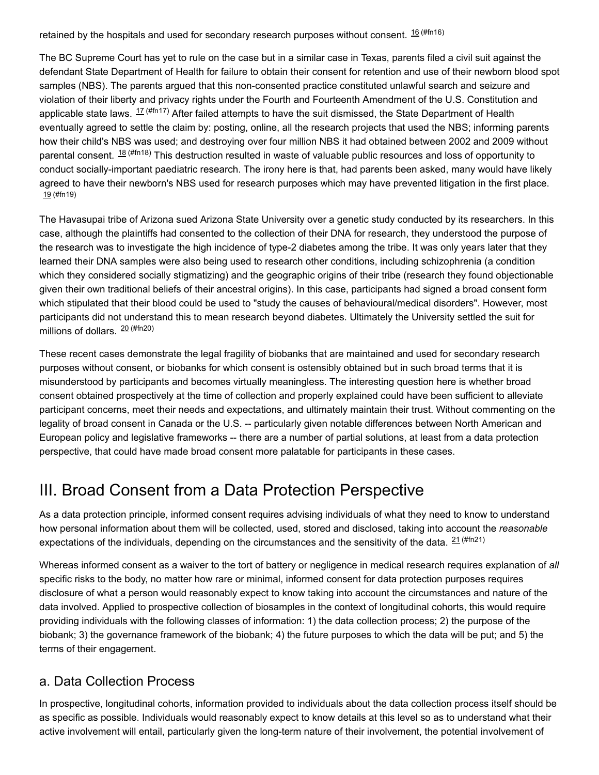<span id="page-10-0"></span>retained by the hospitals and used for secondary research purposes without consent.  $^{16\,(\#fn16)}$ 

<span id="page-10-1"></span>The BC Supreme Court has yet to rule on the case but in a similar case in Texas, parents filed a civil suit against the defendant State Department of Health for failure to obtain their consent for retention and use of their newborn blood spot samples (NBS). The parents argued that this non-consented practice constituted unlawful search and seizure and violation of their liberty and privacy rights under the Fourth and Fourteenth Amendment of the U.S. Constitution and applicable state laws.  $^{17\,(#fn17)}$  $^{17\,(#fn17)}$  $^{17\,(#fn17)}$  After failed attempts to have the suit dismissed, the State Department of Health eventually agreed to settle the claim by: posting, online, all the research projects that used the NBS; informing parents how their child's NBS was used; and destroying over four million NBS it had obtained between 2002 and 2009 without parental consent.  $^{18\,(\#fn18)}$  This destruction resulted in waste of valuable public resources and loss of opportunity to conduct socially-important paediatric research. The irony here is that, had parents been asked, many would have likely agreed to have their newborn's NBS used for research purposes which may have prevented litigation in the first place. 19 [\(#fn19\)](#page-16-7)

<span id="page-10-3"></span><span id="page-10-2"></span>The Havasupai tribe of Arizona sued Arizona State University over a genetic study conducted by its researchers. In this case, although the plaintiffs had consented to the collection of their DNA for research, they understood the purpose of the research was to investigate the high incidence of type-2 diabetes among the tribe. It was only years later that they learned their DNA samples were also being used to research other conditions, including schizophrenia (a condition which they considered socially stigmatizing) and the geographic origins of their tribe (research they found objectionable given their own traditional beliefs of their ancestral origins). In this case, participants had signed a broad consent form which stipulated that their blood could be used to "study the causes of behavioural/medical disorders". However, most participants did not understand this to mean research beyond diabetes. Ultimately the University settled the suit for millions of dollars. 20 [\(#fn20\)](#page-16-8)

<span id="page-10-4"></span>These recent cases demonstrate the legal fragility of biobanks that are maintained and used for secondary research purposes without consent, or biobanks for which consent is ostensibly obtained but in such broad terms that it is misunderstood by participants and becomes virtually meaningless. The interesting question here is whether broad consent obtained prospectively at the time of collection and properly explained could have been sufficient to alleviate participant concerns, meet their needs and expectations, and ultimately maintain their trust. Without commenting on the legality of broad consent in Canada or the U.S. -- particularly given notable differences between North American and European policy and legislative frameworks -- there are a number of partial solutions, at least from a data protection perspective, that could have made broad consent more palatable for participants in these cases.

# III. Broad Consent from a Data Protection Perspective

As a data protection principle, informed consent requires advising individuals of what they need to know to understand how personal information about them will be collected, used, stored and disclosed, taking into account the *reasonable* expectations of the individuals, depending on the circumstances and the sensitivity of the data. <sup>21 [\(#fn21\)](#page-16-9)</sup>

<span id="page-10-5"></span>Whereas informed consent as a waiver to the tort of battery or negligence in medical research requires explanation of *all* specific risks to the body, no matter how rare or minimal, informed consent for data protection purposes requires disclosure of what a person would reasonably expect to know taking into account the circumstances and nature of the data involved. Applied to prospective collection of biosamples in the context of longitudinal cohorts, this would require providing individuals with the following classes of information: 1) the data collection process; 2) the purpose of the biobank; 3) the governance framework of the biobank; 4) the future purposes to which the data will be put; and 5) the terms of their engagement.

## a. Data Collection Process

In prospective, longitudinal cohorts, information provided to individuals about the data collection process itself should be as specific as possible. Individuals would reasonably expect to know details at this level so as to understand what their active involvement will entail, particularly given the long-term nature of their involvement, the potential involvement of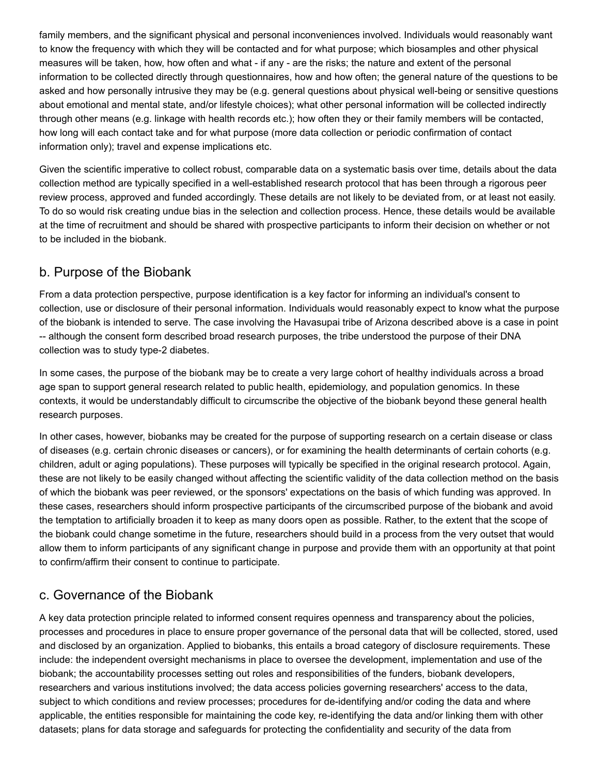family members, and the significant physical and personal inconveniences involved. Individuals would reasonably want to know the frequency with which they will be contacted and for what purpose; which biosamples and other physical measures will be taken, how, how often and what - if any - are the risks; the nature and extent of the personal information to be collected directly through questionnaires, how and how often; the general nature of the questions to be asked and how personally intrusive they may be (e.g. general questions about physical well-being or sensitive questions about emotional and mental state, and/or lifestyle choices); what other personal information will be collected indirectly through other means (e.g. linkage with health records etc.); how often they or their family members will be contacted, how long will each contact take and for what purpose (more data collection or periodic confirmation of contact information only); travel and expense implications etc.

Given the scientific imperative to collect robust, comparable data on a systematic basis over time, details about the data collection method are typically specified in a well-established research protocol that has been through a rigorous peer review process, approved and funded accordingly. These details are not likely to be deviated from, or at least not easily. To do so would risk creating undue bias in the selection and collection process. Hence, these details would be available at the time of recruitment and should be shared with prospective participants to inform their decision on whether or not to be included in the biobank.

## b. Purpose of the Biobank

From a data protection perspective, purpose identification is a key factor for informing an individual's consent to collection, use or disclosure of their personal information. Individuals would reasonably expect to know what the purpose of the biobank is intended to serve. The case involving the Havasupai tribe of Arizona described above is a case in point -- although the consent form described broad research purposes, the tribe understood the purpose of their DNA collection was to study type-2 diabetes.

In some cases, the purpose of the biobank may be to create a very large cohort of healthy individuals across a broad age span to support general research related to public health, epidemiology, and population genomics. In these contexts, it would be understandably difficult to circumscribe the objective of the biobank beyond these general health research purposes.

In other cases, however, biobanks may be created for the purpose of supporting research on a certain disease or class of diseases (e.g. certain chronic diseases or cancers), or for examining the health determinants of certain cohorts (e.g. children, adult or aging populations). These purposes will typically be specified in the original research protocol. Again, these are not likely to be easily changed without affecting the scientific validity of the data collection method on the basis of which the biobank was peer reviewed, or the sponsors' expectations on the basis of which funding was approved. In these cases, researchers should inform prospective participants of the circumscribed purpose of the biobank and avoid the temptation to artificially broaden it to keep as many doors open as possible. Rather, to the extent that the scope of the biobank could change sometime in the future, researchers should build in a process from the very outset that would allow them to inform participants of any significant change in purpose and provide them with an opportunity at that point to confirm/affirm their consent to continue to participate.

## c. Governance of the Biobank

A key data protection principle related to informed consent requires openness and transparency about the policies, processes and procedures in place to ensure proper governance of the personal data that will be collected, stored, used and disclosed by an organization. Applied to biobanks, this entails a broad category of disclosure requirements. These include: the independent oversight mechanisms in place to oversee the development, implementation and use of the biobank; the accountability processes setting out roles and responsibilities of the funders, biobank developers, researchers and various institutions involved; the data access policies governing researchers' access to the data, subject to which conditions and review processes; procedures for de-identifying and/or coding the data and where applicable, the entities responsible for maintaining the code key, re-identifying the data and/or linking them with other datasets; plans for data storage and safeguards for protecting the confidentiality and security of the data from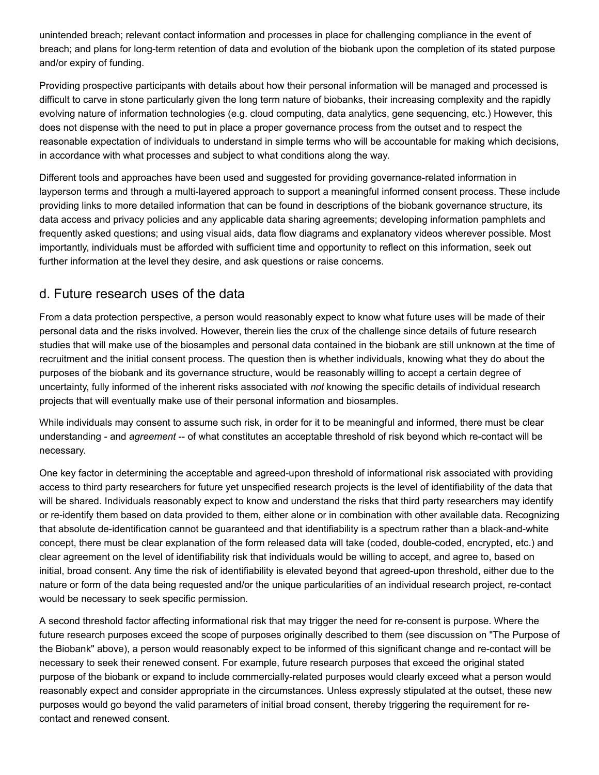unintended breach; relevant contact information and processes in place for challenging compliance in the event of breach; and plans for long-term retention of data and evolution of the biobank upon the completion of its stated purpose and/or expiry of funding.

Providing prospective participants with details about how their personal information will be managed and processed is difficult to carve in stone particularly given the long term nature of biobanks, their increasing complexity and the rapidly evolving nature of information technologies (e.g. cloud computing, data analytics, gene sequencing, etc.) However, this does not dispense with the need to put in place a proper governance process from the outset and to respect the reasonable expectation of individuals to understand in simple terms who will be accountable for making which decisions, in accordance with what processes and subject to what conditions along the way.

Different tools and approaches have been used and suggested for providing governance-related information in layperson terms and through a multi-layered approach to support a meaningful informed consent process. These include providing links to more detailed information that can be found in descriptions of the biobank governance structure, its data access and privacy policies and any applicable data sharing agreements; developing information pamphlets and frequently asked questions; and using visual aids, data flow diagrams and explanatory videos wherever possible. Most importantly, individuals must be afforded with sufficient time and opportunity to reflect on this information, seek out further information at the level they desire, and ask questions or raise concerns.

## d. Future research uses of the data

From a data protection perspective, a person would reasonably expect to know what future uses will be made of their personal data and the risks involved. However, therein lies the crux of the challenge since details of future research studies that will make use of the biosamples and personal data contained in the biobank are still unknown at the time of recruitment and the initial consent process. The question then is whether individuals, knowing what they do about the purposes of the biobank and its governance structure, would be reasonably willing to accept a certain degree of uncertainty, fully informed of the inherent risks associated with *not* knowing the specific details of individual research projects that will eventually make use of their personal information and biosamples.

While individuals may consent to assume such risk, in order for it to be meaningful and informed, there must be clear understanding - and *agreement* -- of what constitutes an acceptable threshold of risk beyond which re-contact will be necessary.

One key factor in determining the acceptable and agreed-upon threshold of informational risk associated with providing access to third party researchers for future yet unspecified research projects is the level of identifiability of the data that will be shared. Individuals reasonably expect to know and understand the risks that third party researchers may identify or re-identify them based on data provided to them, either alone or in combination with other available data. Recognizing that absolute de-identification cannot be guaranteed and that identifiability is a spectrum rather than a black-and-white concept, there must be clear explanation of the form released data will take (coded, double-coded, encrypted, etc.) and clear agreement on the level of identifiability risk that individuals would be willing to accept, and agree to, based on initial, broad consent. Any time the risk of identifiability is elevated beyond that agreed-upon threshold, either due to the nature or form of the data being requested and/or the unique particularities of an individual research project, re-contact would be necessary to seek specific permission.

A second threshold factor affecting informational risk that may trigger the need for re-consent is purpose. Where the future research purposes exceed the scope of purposes originally described to them (see discussion on "The Purpose of the Biobank" above), a person would reasonably expect to be informed of this significant change and re-contact will be necessary to seek their renewed consent. For example, future research purposes that exceed the original stated purpose of the biobank or expand to include commercially-related purposes would clearly exceed what a person would reasonably expect and consider appropriate in the circumstances. Unless expressly stipulated at the outset, these new purposes would go beyond the valid parameters of initial broad consent, thereby triggering the requirement for recontact and renewed consent.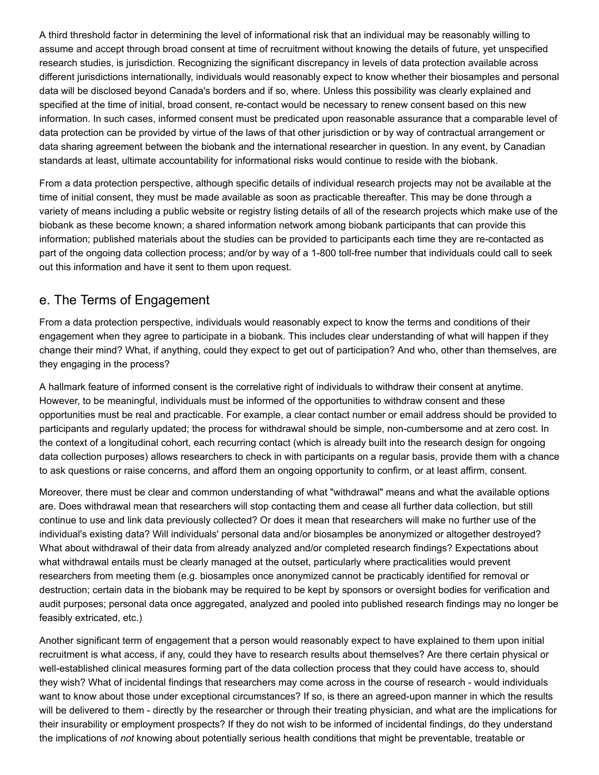A third threshold factor in determining the level of informational risk that an individual may be reasonably willing to assume and accept through broad consent at time of recruitment without knowing the details of future, yet unspecified research studies, is jurisdiction. Recognizing the significant discrepancy in levels of data protection available across different jurisdictions internationally, individuals would reasonably expect to know whether their biosamples and personal data will be disclosed beyond Canada's borders and if so, where. Unless this possibility was clearly explained and specified at the time of initial, broad consent, re-contact would be necessary to renew consent based on this new information. In such cases, informed consent must be predicated upon reasonable assurance that a comparable level of data protection can be provided by virtue of the laws of that other jurisdiction or by way of contractual arrangement or data sharing agreement between the biobank and the international researcher in question. In any event, by Canadian standards at least, ultimate accountability for informational risks would continue to reside with the biobank.

From a data protection perspective, although specific details of individual research projects may not be available at the time of initial consent, they must be made available as soon as practicable thereafter. This may be done through a variety of means including a public website or registry listing details of all of the research projects which make use of the biobank as these become known; a shared information network among biobank participants that can provide this information; published materials about the studies can be provided to participants each time they are re-contacted as part of the ongoing data collection process; and/or by way of a 1-800 toll-free number that individuals could call to seek out this information and have it sent to them upon request.

# e. The Terms of Engagement

From a data protection perspective, individuals would reasonably expect to know the terms and conditions of their engagement when they agree to participate in a biobank. This includes clear understanding of what will happen if they change their mind? What, if anything, could they expect to get out of participation? And who, other than themselves, are they engaging in the process?

A hallmark feature of informed consent is the correlative right of individuals to withdraw their consent at anytime. However, to be meaningful, individuals must be informed of the opportunities to withdraw consent and these opportunities must be real and practicable. For example, a clear contact number or email address should be provided to participants and regularly updated; the process for withdrawal should be simple, non-cumbersome and at zero cost. In the context of a longitudinal cohort, each recurring contact (which is already built into the research design for ongoing data collection purposes) allows researchers to check in with participants on a regular basis, provide them with a chance to ask questions or raise concerns, and afford them an ongoing opportunity to confirm, or at least affirm, consent.

Moreover, there must be clear and common understanding of what "withdrawal" means and what the available options are. Does withdrawal mean that researchers will stop contacting them and cease all further data collection, but still continue to use and link data previously collected? Or does it mean that researchers will make no further use of the individual's existing data? Will individuals' personal data and/or biosamples be anonymized or altogether destroyed? What about withdrawal of their data from already analyzed and/or completed research findings? Expectations about what withdrawal entails must be clearly managed at the outset, particularly where practicalities would prevent researchers from meeting them (e.g. biosamples once anonymized cannot be practicably identified for removal or destruction; certain data in the biobank may be required to be kept by sponsors or oversight bodies for verification and audit purposes; personal data once aggregated, analyzed and pooled into published research findings may no longer be feasibly extricated, etc.)

Another significant term of engagement that a person would reasonably expect to have explained to them upon initial recruitment is what access, if any, could they have to research results about themselves? Are there certain physical or well-established clinical measures forming part of the data collection process that they could have access to, should they wish? What of incidental findings that researchers may come across in the course of research - would individuals want to know about those under exceptional circumstances? If so, is there an agreed-upon manner in which the results will be delivered to them - directly by the researcher or through their treating physician, and what are the implications for their insurability or employment prospects? If they do not wish to be informed of incidental findings, do they understand the implications of *not* knowing about potentially serious health conditions that might be preventable, treatable or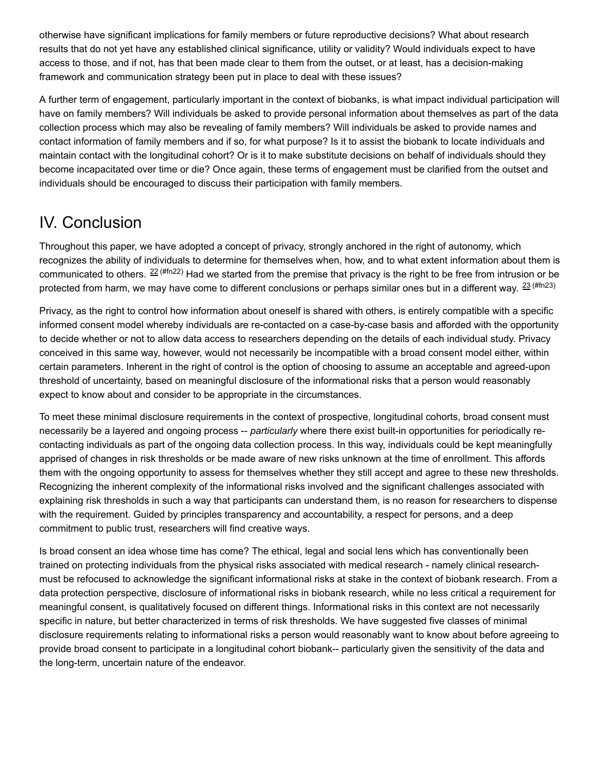otherwise have significant implications for family members or future reproductive decisions? What about research results that do not yet have any established clinical significance, utility or validity? Would individuals expect to have access to those, and if not, has that been made clear to them from the outset, or at least, has a decision-making framework and communication strategy been put in place to deal with these issues?

A further term of engagement, particularly important in the context of biobanks, is what impact individual participation will have on family members? Will individuals be asked to provide personal information about themselves as part of the data collection process which may also be revealing of family members? Will individuals be asked to provide names and contact information of family members and if so, for what purpose? Is it to assist the biobank to locate individuals and maintain contact with the longitudinal cohort? Or is it to make substitute decisions on behalf of individuals should they become incapacitated over time or die? Once again, these terms of engagement must be clarified from the outset and individuals should be encouraged to discuss their participation with family members.

# IV. Conclusion

<span id="page-14-0"></span>Throughout this paper, we have adopted a concept of privacy, strongly anchored in the right of autonomy, which recognizes the ability of individuals to determine for themselves when, how, and to what extent information about them is communicated to others.  $^{22\,(Hn22)}$  Had we started from the premise that privacy is the right to be free from intrusion or be protected from harm, we may have come to different conclusions or perhaps similar ones but in a different way.  $^\mathrm{23\,(Hfn23)}$ 

<span id="page-14-1"></span>Privacy, as the right to control how information about oneself is shared with others, is entirely compatible with a specific informed consent model whereby individuals are re-contacted on a case-by-case basis and afforded with the opportunity to decide whether or not to allow data access to researchers depending on the details of each individual study. Privacy conceived in this same way, however, would not necessarily be incompatible with a broad consent model either, within certain parameters. Inherent in the right of control is the option of choosing to assume an acceptable and agreed-upon threshold of uncertainty, based on meaningful disclosure of the informational risks that a person would reasonably expect to know about and consider to be appropriate in the circumstances.

To meet these minimal disclosure requirements in the context of prospective, longitudinal cohorts, broad consent must necessarily be a layered and ongoing process -- *particularly* where there exist built-in opportunities for periodically recontacting individuals as part of the ongoing data collection process. In this way, individuals could be kept meaningfully apprised of changes in risk thresholds or be made aware of new risks unknown at the time of enrollment. This affords them with the ongoing opportunity to assess for themselves whether they still accept and agree to these new thresholds. Recognizing the inherent complexity of the informational risks involved and the significant challenges associated with explaining risk thresholds in such a way that participants can understand them, is no reason for researchers to dispense with the requirement. Guided by principles transparency and accountability, a respect for persons, and a deep commitment to public trust, researchers will find creative ways.

Is broad consent an idea whose time has come? The ethical, legal and social lens which has conventionally been trained on protecting individuals from the physical risks associated with medical research - namely clinical researchmust be refocused to acknowledge the significant informational risks at stake in the context of biobank research. From a data protection perspective, disclosure of informational risks in biobank research, while no less critical a requirement for meaningful consent, is qualitatively focused on different things. Informational risks in this context are not necessarily specific in nature, but better characterized in terms of risk thresholds. We have suggested five classes of minimal disclosure requirements relating to informational risks a person would reasonably want to know about before agreeing to provide broad consent to participate in a longitudinal cohort biobank-- particularly given the sensitivity of the data and the long-term, uncertain nature of the endeavor.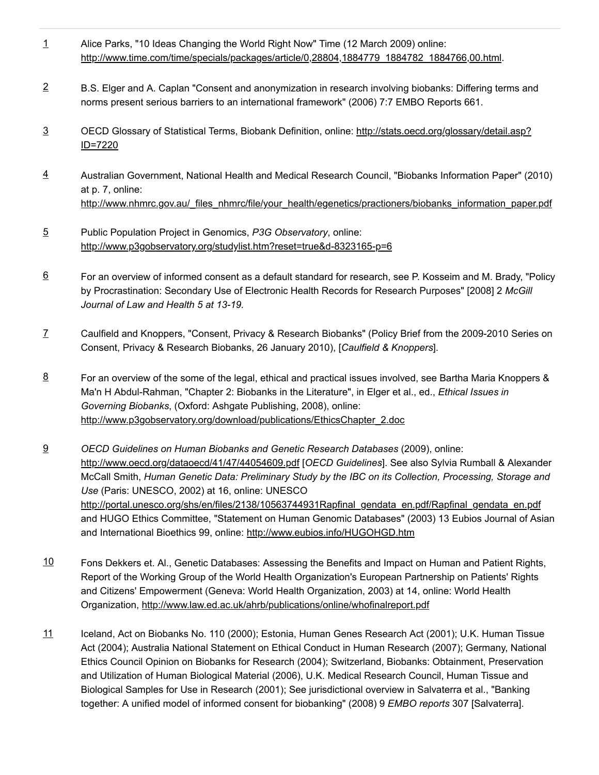- <span id="page-15-0"></span>Alice Parks, "10 Ideas Changing the World Right Now" Time (12 March 2009) online: [http://www.time.com/time/specials/packages/article/0,28804,1884779\\_1884782\\_1884766,00.html.](http://www.time.com/time/specials/packages/article/0,28804,1884779_1884782_1884766,00.html) [1](#page-7-1)
- <span id="page-15-1"></span>B.S. Elger and A. Caplan "Consent and anonymization in research involving biobanks: Differing terms and norms present serious barriers to an international framework" (2006) 7:7 EMBO Reports 661. [2](#page-7-2)
- <span id="page-15-2"></span>OECD Glossary of Statistical Terms, Biobank Definition, online: [http://stats.oecd.org/glossary/detail.asp?](http://stats.oecd.org/glossary/detail.asp?ID=7220) ID=7220 [3](#page-8-0)
- <span id="page-15-3"></span>Australian Government, National Health and Medical Research Council, "Biobanks Information Paper" (2010) at p. 7, online: [http://www.nhmrc.gov.au/\\_files\\_nhmrc/file/your\\_health/egenetics/practioners/biobanks\\_information\\_paper.pdf](http://www.nhmrc.gov.au/_files_nhmrc/file/your_health/egenetics/practioners/biobanks_information_paper.pdf) [4](#page-8-1)
- <span id="page-15-4"></span>Public Population Project in Genomics, *P3G Observatory*, online: <http://www.p3gobservatory.org/studylist.htm?reset=true&d-8323165-p=6> [5](#page-8-2)
- <span id="page-15-5"></span>For an overview of informed consent as a default standard for research, see P. Kosseim and M. Brady, "Policy by Procrastination: Secondary Use of Electronic Health Records for Research Purposes" [2008] 2 *McGill Journal of Law and Health 5 at 13-19.* [6](#page-8-3)
- <span id="page-15-6"></span>Caulfield and Knoppers, "Consent, Privacy & Research Biobanks" (Policy Brief from the 2009-2010 Series on Consent, Privacy & Research Biobanks, 26 January 2010), [*Caulfield & Knoppers*]. [7](#page-8-4)
- <span id="page-15-7"></span>For an overview of the some of the legal, ethical and practical issues involved, see Bartha Maria Knoppers & Ma'n H Abdul-Rahman, "Chapter 2: Biobanks in the Literature", in Elger et al., ed., *Ethical Issues in Governing Biobanks*, (Oxford: Ashgate Publishing, 2008), online: [http://www.p3gobservatory.org/download/publications/EthicsChapter\\_2.doc](http://www.p3gobservatory.org/download/publications/EthicsChapter_2.doc) [8](#page-9-0)
- <span id="page-15-8"></span>*OECD Guidelines on Human Biobanks and Genetic Research Databases* (2009), online: <http://www.oecd.org/dataoecd/41/47/44054609.pdf> [*OECD Guidelines*]. See also Sylvia Rumball & Alexander McCall Smith, *Human Genetic Data: Preliminary Study by the IBC on its Collection, Processing, Storage and Use* (Paris: UNESCO, 2002) at 16, online: UNESCO [http://portal.unesco.org/shs/en/files/2138/10563744931Rapfinal\\_gendata\\_en.pdf/Rapfinal\\_gendata\\_en.pdf](http://portal.unesco.org/shs/en/files/2138/10563744931Rapfinal_gendata_en.pdf/Rapfinal_gendata_en.pdf) and HUGO Ethics Committee, "Statement on Human Genomic Databases" (2003) 13 Eubios Journal of Asian and International Bioethics 99, online: <http://www.eubios.info/HUGOHGD.htm> [9](#page-9-1)
- <span id="page-15-9"></span>Fons Dekkers et. Al., Genetic Databases: Assessing the Benefits and Impact on Human and Patient Rights, Report of the Working Group of the World Health Organization's European Partnership on Patients' Rights and Citizens' Empowerment (Geneva: World Health Organization, 2003) at 14, online: World Health Organization, <http://www.law.ed.ac.uk/ahrb/publications/online/whofinalreport.pdf>  $10$
- <span id="page-15-10"></span>Iceland, Act on Biobanks No. 110 (2000); Estonia, Human Genes Research Act (2001); U.K. Human Tissue Act (2004); Australia National Statement on Ethical Conduct in Human Research (2007); Germany, National Ethics Council Opinion on Biobanks for Research (2004); Switzerland, Biobanks: Obtainment, Preservation and Utilization of Human Biological Material (2006), U.K. Medical Research Council, Human Tissue and Biological Samples for Use in Research (2001); See jurisdictional overview in Salvaterra et al., "Banking together: A unified model of informed consent for biobanking" (2008) 9 *EMBO reports* 307 [Salvaterra]. [11](#page-9-3)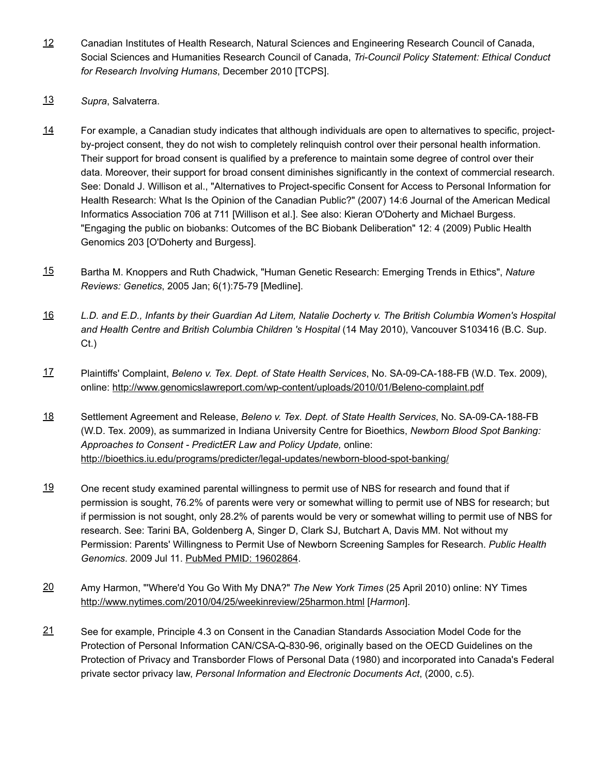- <span id="page-16-0"></span>Canadian Institutes of Health Research, Natural Sciences and Engineering Research Council of Canada, Social Sciences and Humanities Research Council of Canada, *Tri-Council Policy Statement: Ethical Conduct for Research Involving Humans*, December 2010 [TCPS]. [12](#page-9-4)
- <span id="page-16-1"></span>[13](#page-9-5) *Supra*, Salvaterra.
- <span id="page-16-2"></span>For example, a Canadian study indicates that although individuals are open to alternatives to specific, projectby-project consent, they do not wish to completely relinquish control over their personal health information. Their support for broad consent is qualified by a preference to maintain some degree of control over their data. Moreover, their support for broad consent diminishes significantly in the context of commercial research. See: Donald J. Willison et al., "Alternatives to Project-specific Consent for Access to Personal Information for Health Research: What Is the Opinion of the Canadian Public?" (2007) 14:6 Journal of the American Medical Informatics Association 706 at 711 [Willison et al.]. See also: Kieran O'Doherty and Michael Burgess. "Engaging the public on biobanks: Outcomes of the BC Biobank Deliberation" 12: 4 (2009) Public Health Genomics 203 [O'Doherty and Burgess]. [14](#page-9-6)
- <span id="page-16-3"></span>Bartha M. Knoppers and Ruth Chadwick, "Human Genetic Research: Emerging Trends in Ethics", *Nature Reviews: Genetics*, 2005 Jan; 6(1):75-79 [Medline]. [15](#page-9-7)
- <span id="page-16-4"></span>L.D. and E.D., Infants by their Guardian Ad Litem, Natalie Docherty v. The British Columbia Women's Hospital *and Health Centre and British Columbia Children 's Hospital* (14 May 2010), Vancouver S103416 (B.C. Sup. Ct.) [16](#page-10-0)
- <span id="page-16-5"></span>Plaintiffs' Complaint, *Beleno v. Tex. Dept. of State Health Services*, No. SA-09-CA-188-FB (W.D. Tex. 2009), online: <http://www.genomicslawreport.com/wp-content/uploads/2010/01/Beleno-complaint.pdf> [17](#page-10-1)
- <span id="page-16-6"></span>Settlement Agreement and Release, *Beleno v. Tex. Dept. of State Health Services*, No. SA-09-CA-188-FB (W.D. Tex. 2009), as summarized in Indiana University Centre for Bioethics, *Newborn Blood Spot Banking: Approaches to Consent - PredictER Law and Policy Update,* online: <http://bioethics.iu.edu/programs/predicter/legal-updates/newborn-blood-spot-banking/> <u>[18](#page-10-2)</u>
- <span id="page-16-7"></span>One recent study examined parental willingness to permit use of NBS for research and found that if permission is sought, 76.2% of parents were very or somewhat willing to permit use of NBS for research; but if permission is not sought, only 28.2% of parents would be very or somewhat willing to permit use of NBS for research. See: Tarini BA, Goldenberg A, Singer D, Clark SJ, Butchart A, Davis MM. Not without my Permission: Parents' Willingness to Permit Use of Newborn Screening Samples for Research. *Public Health Genomics*. 2009 Jul 11. PubMed PMID: [19602864.](http://pubmed.gov/19602864) [19](#page-10-3)
- <span id="page-16-8"></span>Amy Harmon, "'Where'd You Go With My DNA?" *The New York Times* (25 April 2010) online: NY Times <http://www.nytimes.com/2010/04/25/weekinreview/25harmon.html> [*Harmon*]. [20](#page-10-4)
- <span id="page-16-9"></span>See for example, Principle 4.3 on Consent in the Canadian Standards Association Model Code for the Protection of Personal Information CAN/CSA-Q-830-96, originally based on the OECD Guidelines on the Protection of Privacy and Transborder Flows of Personal Data (1980) and incorporated into Canada's Federal private sector privacy law, *Personal Information and Electronic Documents Act*, (2000, c.5). [21](#page-10-5)